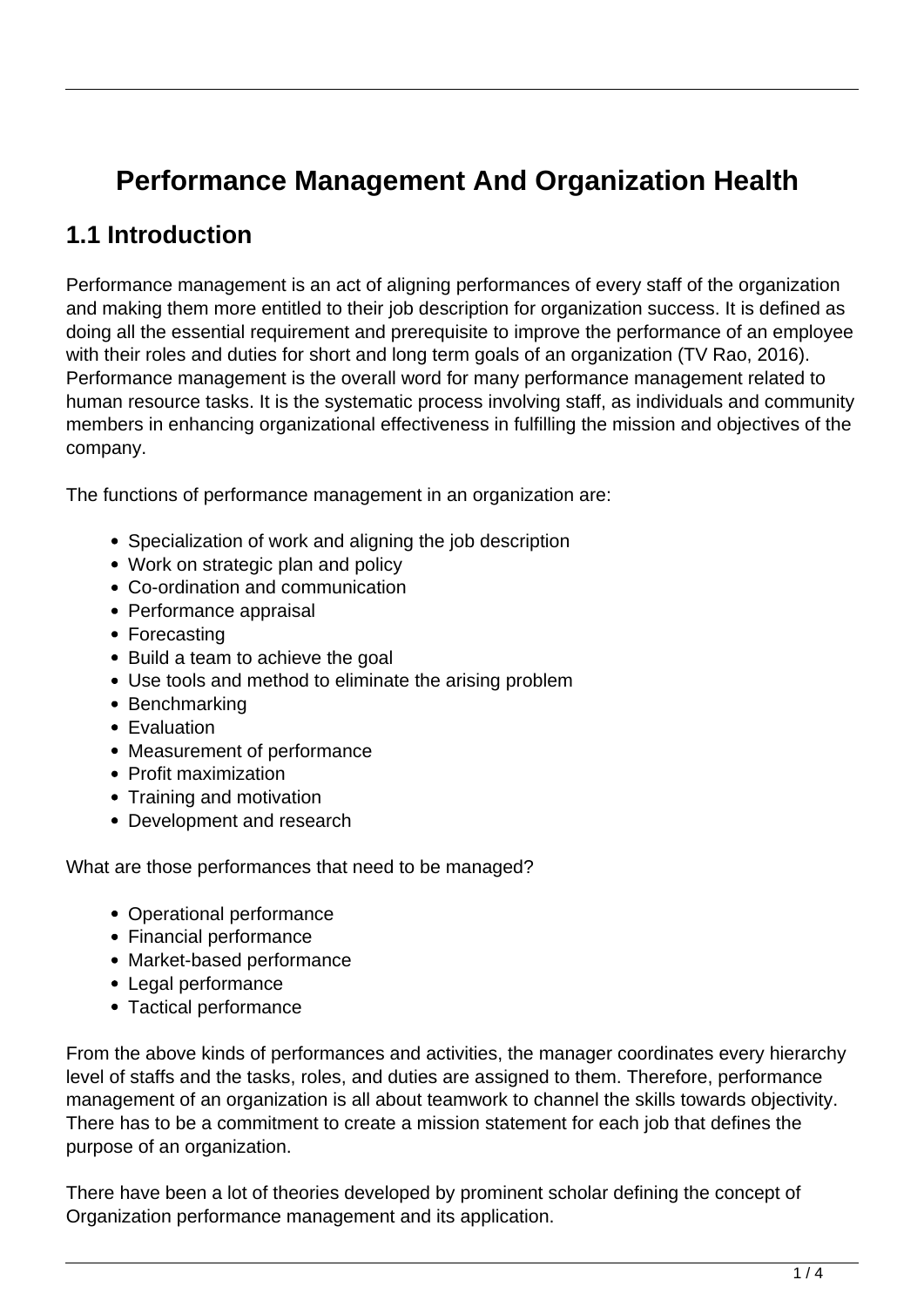# **Performance Management And Organization Health**

#### **1.1 Introduction**

Performance management is an act of aligning performances of every staff of the organization and making them more entitled to their job description for organization success. It is defined as doing all the essential requirement and prerequisite to improve the performance of an employee with their roles and duties for short and long term goals of an organization (TV Rao, 2016). Performance management is the overall word for many performance management related to human resource tasks. It is the systematic process involving staff, as individuals and community members in enhancing organizational effectiveness in fulfilling the mission and objectives of the company.

The functions of performance management in an organization are:

- Specialization of work and aligning the job description
- Work on strategic plan and policy
- Co-ordination and communication
- Performance appraisal
- Forecasting
- Build a team to achieve the goal
- Use tools and method to eliminate the arising problem
- Benchmarking
- Evaluation
- Measurement of performance
- Profit maximization
- Training and motivation
- Development and research

What are those performances that need to be managed?

- Operational performance
- Financial performance
- Market-based performance
- Legal performance
- Tactical performance

From the above kinds of performances and activities, the manager coordinates every hierarchy level of staffs and the tasks, roles, and duties are assigned to them. Therefore, performance management of an organization is all about teamwork to channel the skills towards objectivity. There has to be a commitment to create a mission statement for each job that defines the purpose of an organization.

There have been a lot of theories developed by prominent scholar defining the concept of Organization performance management and its application.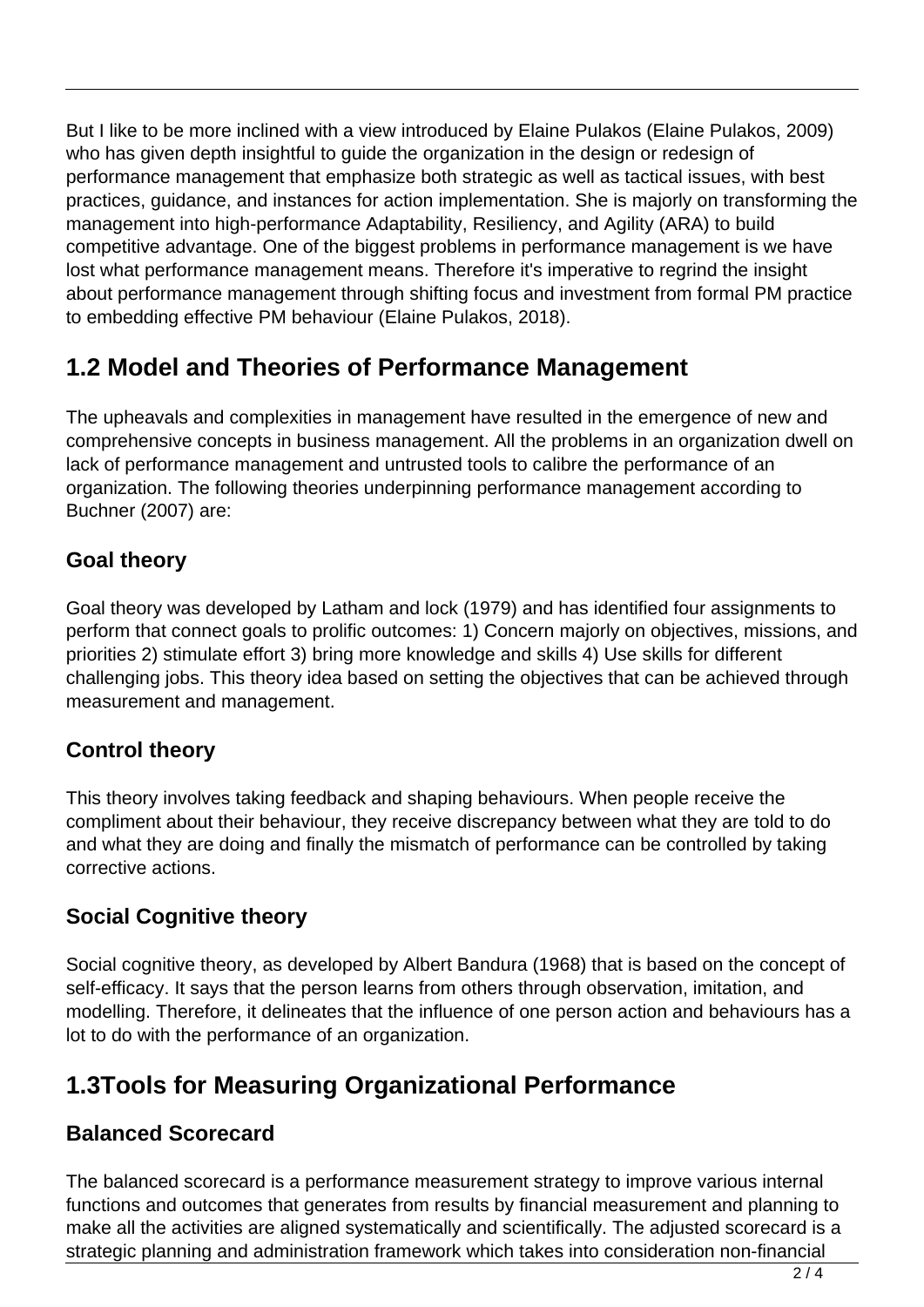But I like to be more inclined with a view introduced by Elaine Pulakos (Elaine Pulakos, 2009) who has given depth insightful to guide the organization in the design or redesign of performance management that emphasize both strategic as well as tactical issues, with best practices, guidance, and instances for action implementation. She is majorly on transforming the management into high-performance Adaptability, Resiliency, and Agility (ARA) to build competitive advantage. One of the biggest problems in performance management is we have lost what performance management means. Therefore it's imperative to regrind the insight about performance management through shifting focus and investment from formal PM practice to embedding effective PM behaviour (Elaine Pulakos, 2018).

### **1.2 Model and Theories of Performance Management**

The upheavals and complexities in management have resulted in the emergence of new and comprehensive concepts in business management. All the problems in an organization dwell on lack of performance management and untrusted tools to calibre the performance of an organization. The following theories underpinning performance management according to Buchner (2007) are:

#### **Goal theory**

Goal theory was developed by Latham and lock (1979) and has identified four assignments to perform that connect goals to prolific outcomes: 1) Concern majorly on objectives, missions, and priorities 2) stimulate effort 3) bring more knowledge and skills 4) Use skills for different challenging jobs. This theory idea based on setting the objectives that can be achieved through measurement and management.

#### **Control theory**

This theory involves taking feedback and shaping behaviours. When people receive the compliment about their behaviour, they receive discrepancy between what they are told to do and what they are doing and finally the mismatch of performance can be controlled by taking corrective actions.

#### **Social Cognitive theory**

Social cognitive theory, as developed by Albert Bandura (1968) that is based on the concept of self-efficacy. It says that the person learns from others through observation, imitation, and modelling. Therefore, it delineates that the influence of one person action and behaviours has a lot to do with the performance of an organization.

### **1.3Tools for Measuring Organizational Performance**

#### **Balanced Scorecard**

The balanced scorecard is a performance measurement strategy to improve various internal functions and outcomes that generates from results by financial measurement and planning to make all the activities are aligned systematically and scientifically. The adjusted scorecard is a strategic planning and administration framework which takes into consideration non-financial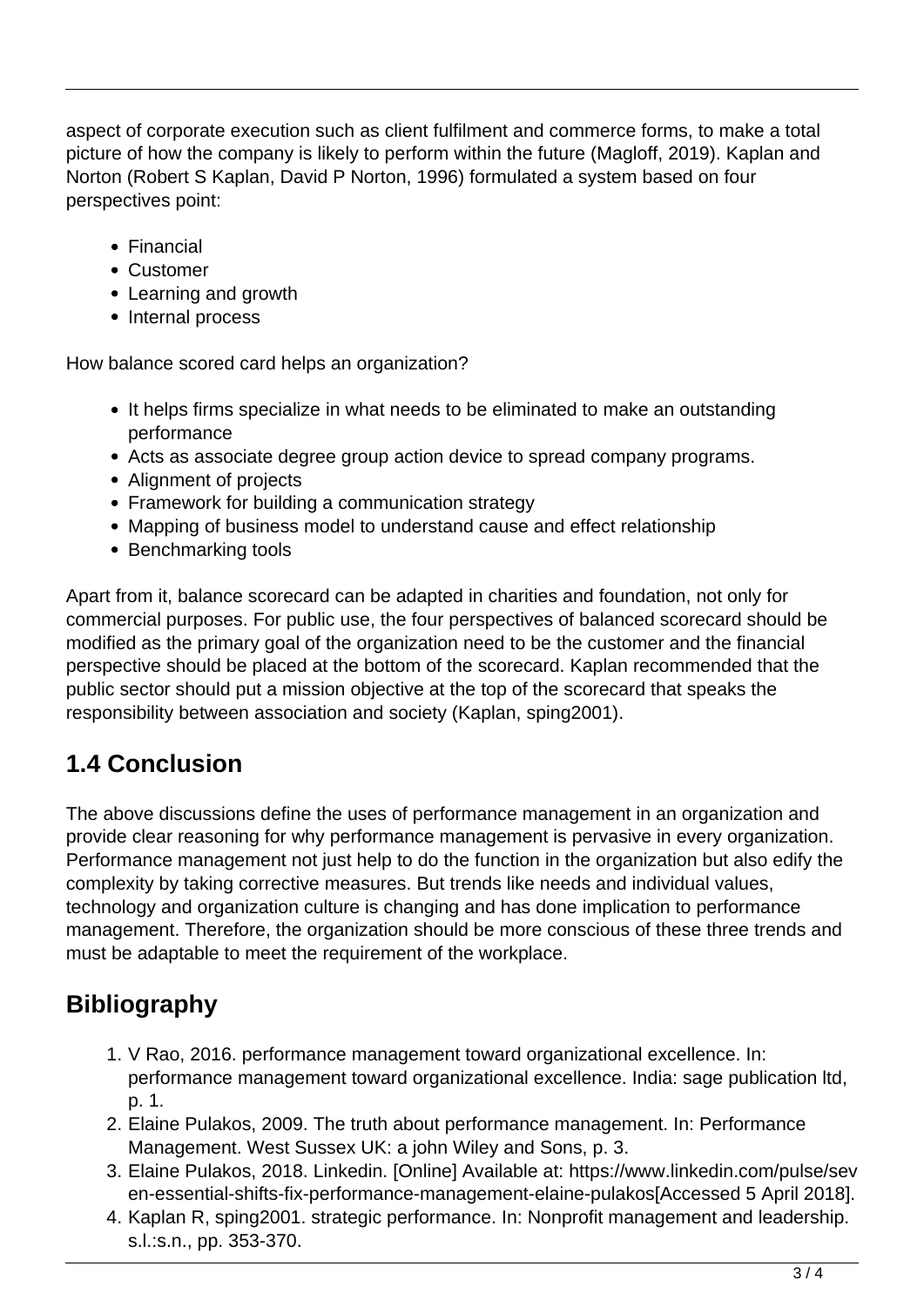aspect of corporate execution such as client fulfilment and commerce forms, to make a total picture of how the company is likely to perform within the future (Magloff, 2019). Kaplan and Norton (Robert S Kaplan, David P Norton, 1996) formulated a system based on four perspectives point:

- Financial
- Customer
- Learning and growth
- Internal process

How balance scored card helps an organization?

- It helps firms specialize in what needs to be eliminated to make an outstanding performance
- Acts as associate degree group action device to spread company programs.
- Alignment of projects
- Framework for building a communication strategy
- Mapping of business model to understand cause and effect relationship
- Benchmarking tools

Apart from it, balance scorecard can be adapted in charities and foundation, not only for commercial purposes. For public use, the four perspectives of balanced scorecard should be modified as the primary goal of the organization need to be the customer and the financial perspective should be placed at the bottom of the scorecard. Kaplan recommended that the public sector should put a mission objective at the top of the scorecard that speaks the responsibility between association and society (Kaplan, sping2001).

# **1.4 Conclusion**

The above discussions define the uses of performance management in an organization and provide clear reasoning for why performance management is pervasive in every organization. Performance management not just help to do the function in the organization but also edify the complexity by taking corrective measures. But trends like needs and individual values, technology and organization culture is changing and has done implication to performance management. Therefore, the organization should be more conscious of these three trends and must be adaptable to meet the requirement of the workplace.

# **Bibliography**

- 1. V Rao, 2016. performance management toward organizational excellence. In: performance management toward organizational excellence. India: sage publication ltd, p. 1.
- 2. Elaine Pulakos, 2009. The truth about performance management. In: Performance Management. West Sussex UK: a john Wiley and Sons, p. 3.
- 3. Elaine Pulakos, 2018. Linkedin. [Online] Available at: https://www.linkedin.com/pulse/sev en-essential-shifts-fix-performance-management-elaine-pulakos[Accessed 5 April 2018].
- 4. Kaplan R, sping2001. strategic performance. In: Nonprofit management and leadership. s.l.:s.n., pp. 353-370.